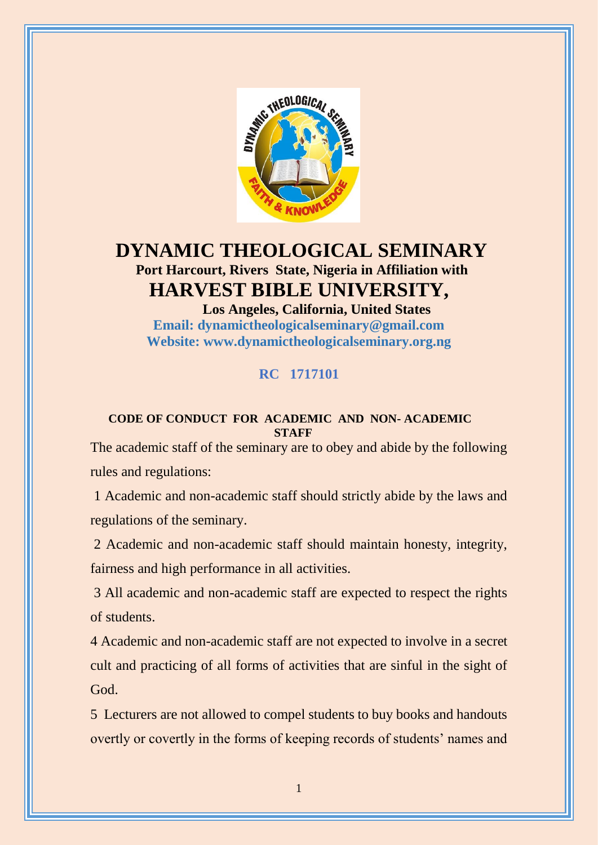

# **DYNAMIC THEOLOGICAL SEMINARY Port Harcourt, Rivers State, Nigeria in Affiliation with HARVEST BIBLE UNIVERSITY,**

 **Los Angeles, California, United States Email: [dynamictheologicalseminary@gmail.com](mailto:dynamictheologicalseminary@gmail.com) Website: [www.dynamictheologicalseminary.org.ng](http://www.dynamictheologicalseminary.org.ng/)**

## **RC 1717101**

#### **CODE OF CONDUCT FOR ACADEMIC AND NON- ACADEMIC STAFF**

The academic staff of the seminary are to obey and abide by the following rules and regulations:

1 Academic and non-academic staff should strictly abide by the laws and regulations of the seminary.

2 Academic and non-academic staff should maintain honesty, integrity, fairness and high performance in all activities.

3 All academic and non-academic staff are expected to respect the rights of students.

4 Academic and non-academic staff are not expected to involve in a secret cult and practicing of all forms of activities that are sinful in the sight of God.

5 Lecturers are not allowed to compel students to buy books and handouts overtly or covertly in the forms of keeping records of students' names and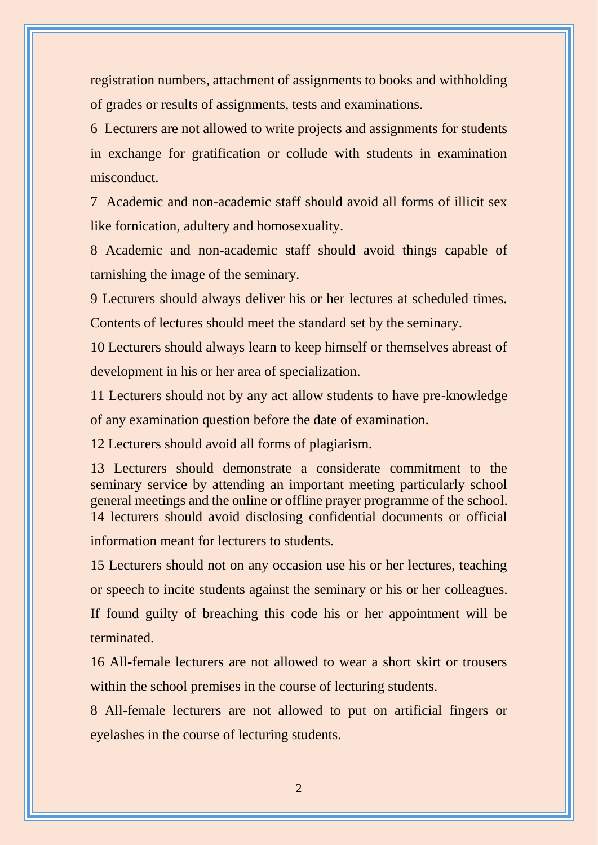registration numbers, attachment of assignments to books and withholding of grades or results of assignments, tests and examinations.

6 Lecturers are not allowed to write projects and assignments for students in exchange for gratification or collude with students in examination misconduct.

7 Academic and non-academic staff should avoid all forms of illicit sex like fornication, adultery and homosexuality.

8 Academic and non-academic staff should avoid things capable of tarnishing the image of the seminary.

9 Lecturers should always deliver his or her lectures at scheduled times.

Contents of lectures should meet the standard set by the seminary.

10 Lecturers should always learn to keep himself or themselves abreast of development in his or her area of specialization.

11 Lecturers should not by any act allow students to have pre-knowledge of any examination question before the date of examination.

12 Lecturers should avoid all forms of plagiarism.

13 Lecturers should demonstrate a considerate commitment to the seminary service by attending an important meeting particularly school general meetings and the online or offline prayer programme of the school. 14 lecturers should avoid disclosing confidential documents or official information meant for lecturers to students.

15 Lecturers should not on any occasion use his or her lectures, teaching or speech to incite students against the seminary or his or her colleagues. If found guilty of breaching this code his or her appointment will be terminated.

16 All-female lecturers are not allowed to wear a short skirt or trousers within the school premises in the course of lecturing students.

8 All-female lecturers are not allowed to put on artificial fingers or eyelashes in the course of lecturing students.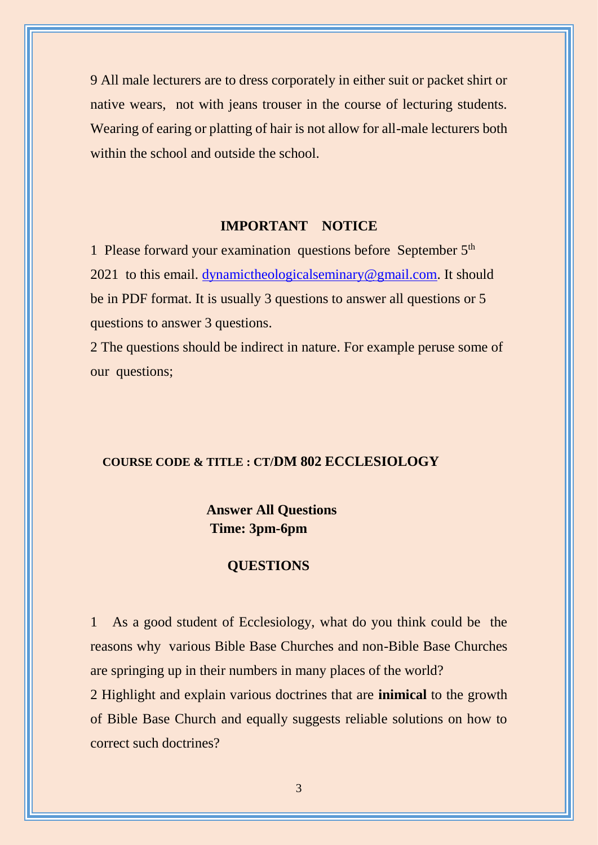9 All male lecturers are to dress corporately in either suit or packet shirt or native wears, not with jeans trouser in the course of lecturing students. Wearing of earing or platting of hair is not allow for all-male lecturers both within the school and outside the school.

### **IMPORTANT NOTICE**

1 Please forward your examination questions before September 5<sup>th</sup> 2021 to this email. [dynamictheologicalseminary@gmail.com.](mailto:dynamictheologicalseminary@gmail.com) It should be in PDF format. It is usually 3 questions to answer all questions or 5 questions to answer 3 questions.

2 The questions should be indirect in nature. For example peruse some of our questions;

#### **COURSE CODE & TITLE : CT/DM 802 ECCLESIOLOGY**

## **Answer All Questions Time: 3pm-6pm**

### **QUESTIONS**

1 As a good student of Ecclesiology, what do you think could be the reasons why various Bible Base Churches and non-Bible Base Churches are springing up in their numbers in many places of the world? 2 Highlight and explain various doctrines that are **inimical** to the growth of Bible Base Church and equally suggests reliable solutions on how to correct such doctrines?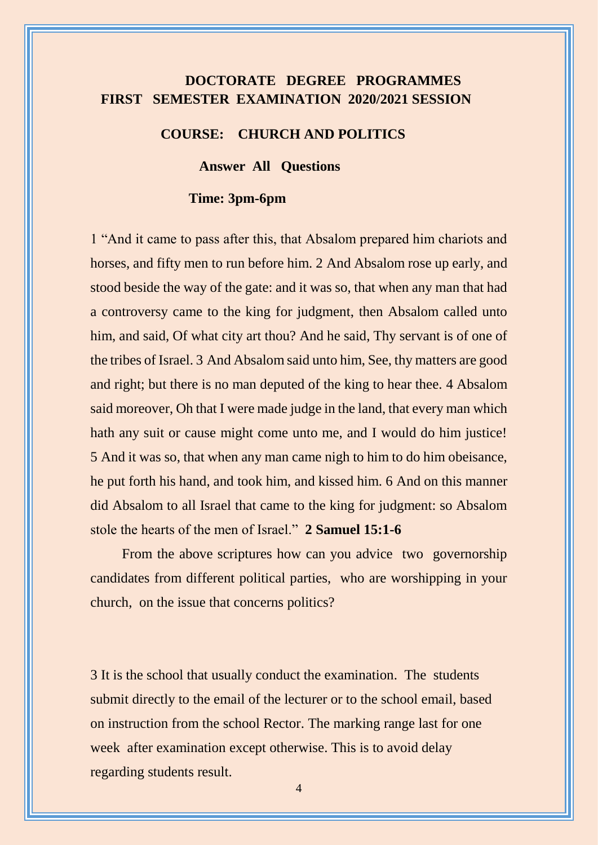# **DOCTORATE DEGREE PROGRAMMES FIRST SEMESTER EXAMINATION 2020/2021 SESSION**

#### **COURSE: CHURCH AND POLITICS**

**Answer All Questions**

#### **Time: 3pm-6pm**

1 "And it came to pass after this, that Absalom prepared him chariots and horses, and fifty men to run before him. 2 And Absalom rose up early, and stood beside the way of the gate: and it was so, that when any man that had a controversy came to the king for judgment, then Absalom called unto him, and said, Of what city art thou? And he said, Thy servant is of one of the tribes of Israel. 3 And Absalom said unto him, See, thy matters are good and right; but there is no man deputed of the king to hear thee. 4 Absalom said moreover, Oh that I were made judge in the land, that every man which hath any suit or cause might come unto me, and I would do him justice! 5 And it was so, that when any man came nigh to him to do him obeisance, he put forth his hand, and took him, and kissed him. 6 And on this manner did Absalom to all Israel that came to the king for judgment: so Absalom stole the hearts of the men of Israel." **2 Samuel 15:1-6** 

 From the above scriptures how can you advice two governorship candidates from different political parties, who are worshipping in your church, on the issue that concerns politics?

3 It is the school that usually conduct the examination. The students submit directly to the email of the lecturer or to the school email, based on instruction from the school Rector. The marking range last for one week after examination except otherwise. This is to avoid delay regarding students result.